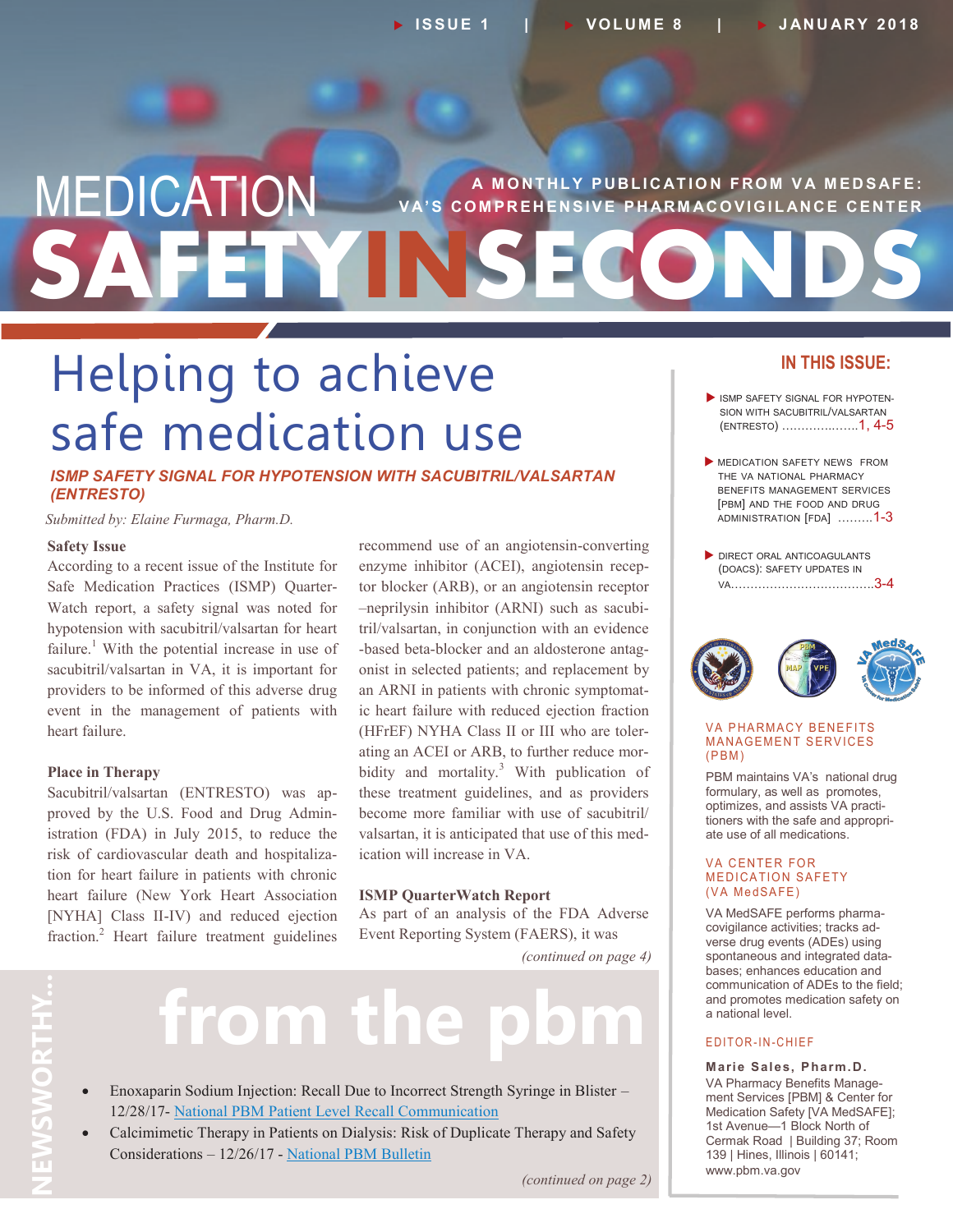# **SAFETYINSECONDS MEDICATION** VA'S COMPREHENSIVE PHARMACOVIGILANCE CENTER **V A' S C O M P R E H E N S I V E P H AR M AC O V I G I L AN C E C E N T E R**

# Helping to achieve safe medication use

*ISMP SAFETY SIGNAL FOR HYPOTENSION WITH SACUBITRIL/VALSARTAN (ENTRESTO)*

*Submitted by: Elaine Furmaga, Pharm.D.*

#### **Safety Issue**

According to a recent issue of the Institute for Safe Medication Practices (ISMP) Quarter-Watch report, a safety signal was noted for hypotension with sacubitril/valsartan for heart failure.<sup>1</sup> With the potential increase in use of sacubitril/valsartan in VA, it is important for providers to be informed of this adverse drug event in the management of patients with heart failure.

#### **Place in Therapy**

Sacubitril/valsartan (ENTRESTO) was approved by the U.S. Food and Drug Administration (FDA) in July 2015, to reduce the risk of cardiovascular death and hospitalization for heart failure in patients with chronic heart failure (New York Heart Association [NYHA] Class II-IV) and reduced ejection fraction.<sup>2</sup> Heart failure treatment guidelines recommend use of an angiotensin-converting enzyme inhibitor (ACEI), angiotensin receptor blocker (ARB), or an angiotensin receptor –neprilysin inhibitor (ARNI) such as sacubitril/valsartan, in conjunction with an evidence -based beta-blocker and an aldosterone antagonist in selected patients; and replacement by an ARNI in patients with chronic symptomatic heart failure with reduced ejection fraction (HFrEF) NYHA Class II or III who are tolerating an ACEI or ARB, to further reduce morbidity and mortality.<sup>3</sup> With publication of these treatment guidelines, and as providers become more familiar with use of sacubitril/ valsartan, it is anticipated that use of this medication will increase in VA.

#### **ISMP QuarterWatch Report**

As part of an analysis of the FDA Adverse Event Reporting System (FAERS), it was

*(continued on page 4)*

# from the

- Enoxaparin Sodium Injection: Recall Due to Incorrect Strength Syringe in Blister 12/28/17- [National PBM Patient Level Recall Communication](https://www.pbm.va.gov/PBM/vacenterformedicationsafety/EnoxaparinSodiumInjectionRecallDuetoIncorrectStrengthinBlisterNationalPBMPatientLevelRecallCommunicationFINAL122817.pdf)
- Calcimimetic Therapy in Patients on Dialysis: Risk of Duplicate Therapy and Safety Considerations – 12/26/17 - [National PBM Bulletin](https://www.pbm.va.gov/PBM/vacenterformedicationsafety/CalcimimeticTherapyinPatientsofDialysisRiskofDuplicateTherapyandSafetyConsiderationsNATIONALPBMBULLETINFINAL122617withdisclaimer.pdf)

#### **IN THIS ISSUE:**

- ISMP SAFETY SIGNAL FOR HYPOTEN-SION WITH SACUBITRIL/VALSARTAN (ENTRESTO) ………….…….1, 4-5
- MEDICATION SAFETY NEWS FROM THE VA NATIONAL PHARMACY BENEFITS MANAGEMENT SERVICES [PBM] AND THE FOOD AND DRUG ADMINISTRATION [FDA] .……..1-3
- DIRECT ORAL ANTICOAGULANTS (DOACS): SAFETY UPDATES IN VA……………………………….3-4



#### **VA PHARMACY BENEFITS MANAGEMENT SERVICES**  $(PBM)$

PBM maintains VA's national drug formulary, as well as promotes, optimizes, and assists VA practitioners with the safe and appropriate use of all medications.

#### **VA CENTER FOR MEDICATION SAFETY** (VA MedSAFE)

VA MedSAFE performs pharmacovigilance activities; tracks adverse drug events (ADEs) using spontaneous and integrated databases; enhances education and communication of ADEs to the field; and promotes medication safety on a national level.

#### E D I T O R - I N - C H I E F

**Marie Sales, Pharm.D.** VA Pharmacy Benefits Management Services [PBM] & Center for Medication Safety [VA MedSAFE]; 1st Avenue—1 Block North of Cermak Road | Building 37; Room 139 | Hines, Illinois | 60141; www.pbm.va.gov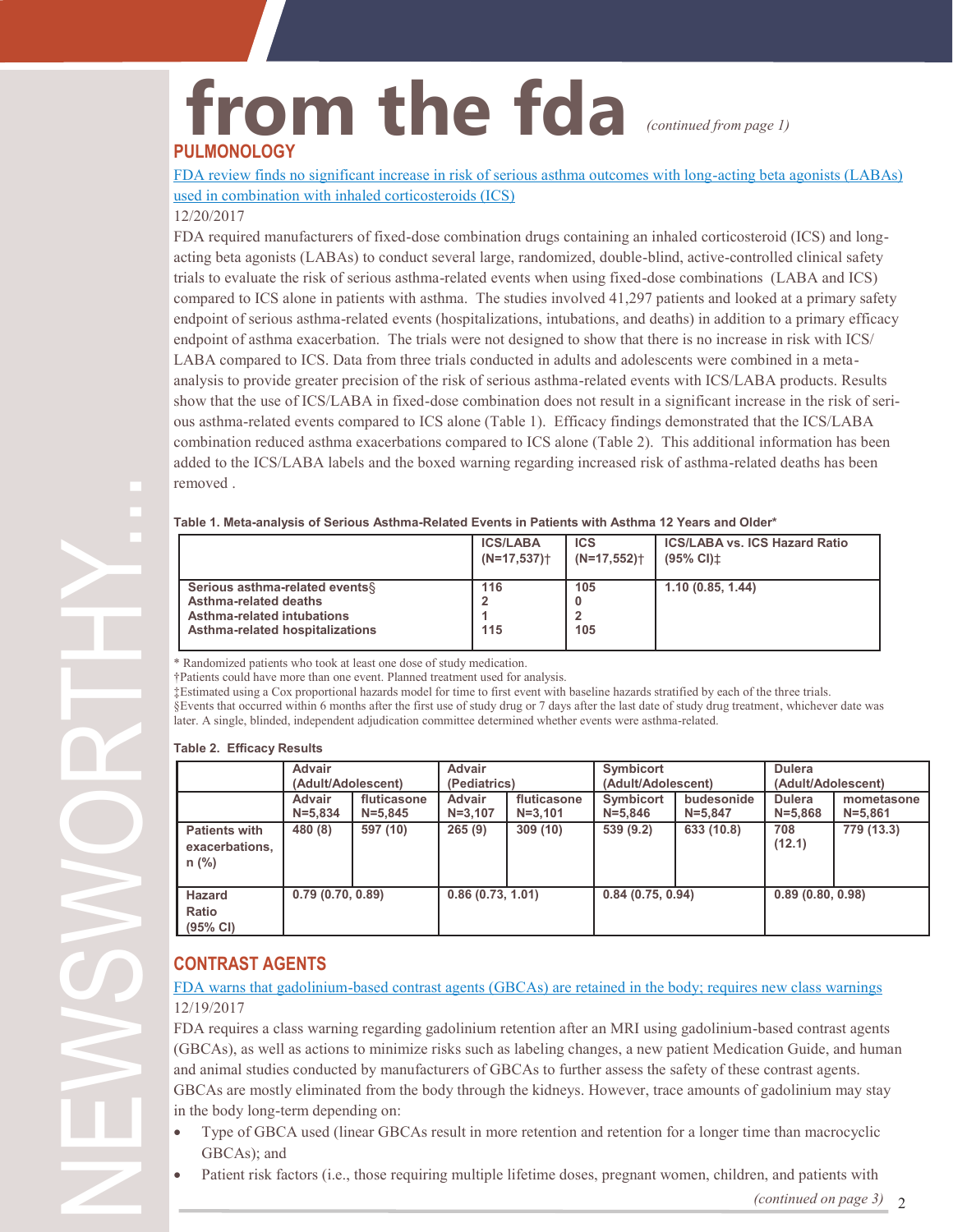## **from the fda PULMONOLOGY** *(continued from page 1)*

[FDA review finds no significant increase in risk of serious asthma outcomes with long](https://www.fda.gov/Drugs/DrugSafety/ucm589587.htm)-acting beta agonists (LABAs) [used in combination with inhaled corticosteroids \(ICS\)](https://www.fda.gov/Drugs/DrugSafety/ucm589587.htm)

#### 12/20/2017

FDA required manufacturers of fixed-dose combination drugs containing an inhaled corticosteroid (ICS) and longacting beta agonists (LABAs) to conduct several large, randomized, double-blind, active-controlled clinical safety trials to evaluate the risk of serious asthma-related events when using fixed-dose combinations (LABA and ICS) compared to ICS alone in patients with asthma. The studies involved 41,297 patients and looked at a primary safety endpoint of serious asthma-related events (hospitalizations, intubations, and deaths) in addition to a primary efficacy endpoint of asthma exacerbation. The trials were not designed to show that there is no increase in risk with ICS/ LABA compared to ICS. Data from three trials conducted in adults and adolescents were combined in a metaanalysis to provide greater precision of the risk of serious asthma-related events with ICS/LABA products. Results show that the use of ICS/LABA in fixed-dose combination does not result in a significant increase in the risk of serious asthma-related events compared to ICS alone (Table 1). Efficacy findings demonstrated that the ICS/LABA combination reduced asthma exacerbations compared to ICS alone (Table 2). This additional information has been added to the ICS/LABA labels and the boxed warning regarding increased risk of asthma-related deaths has been removed .

#### **Table 1. Meta-analysis of Serious Asthma-Related Events in Patients with Asthma 12 Years and Older\***

|                                                                                                                           | <b>ICS/LABA</b>           | <b>ICS</b>                | <b>ICS/LABA vs. ICS Hazard Ratio</b> |
|---------------------------------------------------------------------------------------------------------------------------|---------------------------|---------------------------|--------------------------------------|
|                                                                                                                           | $(N=17,537)$ <sup>+</sup> | $(N=17,552)$ <sup>+</sup> | $(95\% \text{ Cl})\pm$               |
| Serious asthma-related events §<br>Asthma-related deaths<br>Asthma-related intubations<br>Asthma-related hospitalizations | 116<br>115                | 105<br>105                | 1.10(0.85, 1.44)                     |

\* Randomized patients who took at least one dose of study medication.

†Patients could have more than one event. Planned treatment used for analysis.

‡Estimated using a Cox proportional hazards model for time to first event with baseline hazards stratified by each of the three trials. §Events that occurred within 6 months after the first use of study drug or 7 days after the last date of study drug treatment, whichever date was later. A single, blinded, independent adjudication committee determined whether events were asthma-related.

#### **Table 2. Efficacy Results**

|                                                   | <b>Advair</b>      |             | <b>Advair</b>    |             | <b>Symbicort</b>   |             | <b>Dulera</b>      |             |
|---------------------------------------------------|--------------------|-------------|------------------|-------------|--------------------|-------------|--------------------|-------------|
|                                                   | (Adult/Adolescent) |             | (Pediatrics)     |             | (Adult/Adolescent) |             | (Adult/Adolescent) |             |
|                                                   | Advair             | fluticasone | <b>Advair</b>    | fluticasone | <b>Symbicort</b>   | budesonide  | <b>Dulera</b>      | mometasone  |
|                                                   | $N = 5.834$        | $N = 5.845$ | $N = 3,107$      | $N = 3.101$ | $N = 5,846$        | $N = 5.847$ | $N = 5,868$        | $N = 5.861$ |
| <b>Patients with</b><br>exacerbations,<br>$n$ (%) | 480 (8)            | 597 (10)    | 265(9)           | 309(10)     | 539(9.2)           | 633 (10.8)  | 708<br>(12.1)      | 779 (13.3)  |
| <b>Hazard</b><br>Ratio<br>(95% CI)                | 0.79(0.70, 0.89)   |             | 0.86(0.73, 1.01) |             | 0.84(0.75, 0.94)   |             | 0.89(0.80, 0.98)   |             |

#### **CONTRAST AGENTS**

#### FDA warns that gadolinium-[based contrast agents \(GBCAs\) are retained in the body; requires new class warnings](https://www.fda.gov/Drugs/DrugSafety/ucm589213.htm) 12/19/2017

FDA requires a class warning regarding gadolinium retention after an MRI using gadolinium-based contrast agents (GBCAs), as well as actions to minimize risks such as labeling changes, a new patient Medication Guide, and human and animal studies conducted by manufacturers of GBCAs to further assess the safety of these contrast agents. GBCAs are mostly eliminated from the body through the kidneys. However, trace amounts of gadolinium may stay in the body long-term depending on:

- Type of GBCA used (linear GBCAs result in more retention and retention for a longer time than macrocyclic GBCAs); and
- Patient risk factors (i.e., those requiring multiple lifetime doses, pregnant women, children, and patients with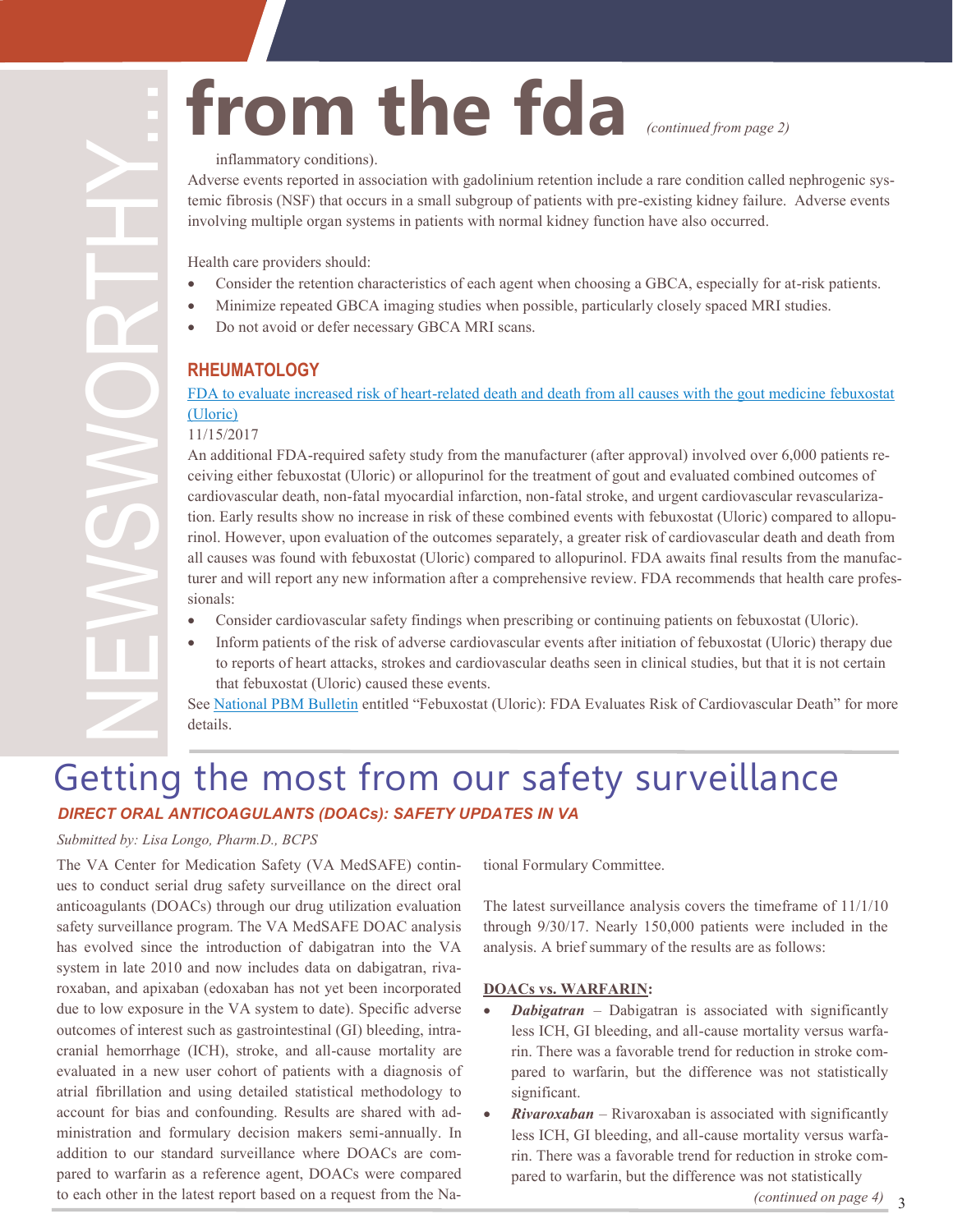# **from the fda**

*(continued from page 2)*

#### inflammatory conditions).

Adverse events reported in association with gadolinium retention include a rare condition called nephrogenic systemic fibrosis (NSF) that occurs in a small subgroup of patients with pre-existing kidney failure. Adverse events involving multiple organ systems in patients with normal kidney function have also occurred.

Health care providers should:

- Consider the retention characteristics of each agent when choosing a GBCA, especially for at-risk patients.
- Minimize repeated GBCA imaging studies when possible, particularly closely spaced MRI studies.
- Do not avoid or defer necessary GBCA MRI scans.

#### **RHEUMATOLOGY**

#### FDA to evaluate increased risk of heart-related death and death from all causes with the gout medicine febuxostat [\(Uloric\)](https://www.fda.gov/Drugs/DrugSafety/ucm584702.htm)

#### 11/15/2017

An additional FDA-required safety study from the manufacturer (after approval) involved over 6,000 patients receiving either febuxostat (Uloric) or allopurinol for the treatment of gout and evaluated combined outcomes of cardiovascular death, non-fatal myocardial infarction, non-fatal stroke, and urgent cardiovascular revascularization. Early results show no increase in risk of these combined events with febuxostat (Uloric) compared to allopurinol. However, upon evaluation of the outcomes separately, a greater risk of cardiovascular death and death from all causes was found with febuxostat (Uloric) compared to allopurinol. FDA awaits final results from the manufacturer and will report any new information after a comprehensive review. FDA recommends that health care professionals:

- Consider cardiovascular safety findings when prescribing or continuing patients on febuxostat (Uloric).
- Inform patients of the risk of adverse cardiovascular events after initiation of febuxostat (Uloric) therapy due to reports of heart attacks, strokes and cardiovascular deaths seen in clinical studies, but that it is not certain that febuxostat (Uloric) caused these events.

See [National PBM Bulletin](https://www.pbm.va.gov/PBM/vacenterformedicationsafety/Febuxostat_Uloric_andFDAEvaluationofCardiovascularDeathsNATIONALPBMBULLETINFINAL112117withdisclaimer.pdf) entitled "Febuxostat (Uloric): FDA Evaluates Risk of Cardiovascular Death" for more details.

## Getting the most from our safety surveillance *DIRECT ORAL ANTICOAGULANTS (DOACs): SAFETY UPDATES IN VA*

#### *Submitted by: Lisa Longo, Pharm.D., BCPS*

The VA Center for Medication Safety (VA MedSAFE) continues to conduct serial drug safety surveillance on the direct oral anticoagulants (DOACs) through our drug utilization evaluation safety surveillance program. The VA MedSAFE DOAC analysis has evolved since the introduction of dabigatran into the VA system in late 2010 and now includes data on dabigatran, rivaroxaban, and apixaban (edoxaban has not yet been incorporated due to low exposure in the VA system to date). Specific adverse outcomes of interest such as gastrointestinal (GI) bleeding, intracranial hemorrhage (ICH), stroke, and all-cause mortality are evaluated in a new user cohort of patients with a diagnosis of atrial fibrillation and using detailed statistical methodology to account for bias and confounding. Results are shared with administration and formulary decision makers semi-annually. In addition to our standard surveillance where DOACs are compared to warfarin as a reference agent, DOACs were compared to each other in the latest report based on a request from the Na-

tional Formulary Committee.

The latest surveillance analysis covers the timeframe of 11/1/10 through 9/30/17. Nearly 150,000 patients were included in the analysis. A brief summary of the results are as follows:

#### **DOACs vs. WARFARIN:**

- **Dabigatran** Dabigatran is associated with significantly less ICH, GI bleeding, and all-cause mortality versus warfarin. There was a favorable trend for reduction in stroke compared to warfarin, but the difference was not statistically significant.
- *Rivaroxaban* Rivaroxaban is associated with significantly less ICH, GI bleeding, and all-cause mortality versus warfarin. There was a favorable trend for reduction in stroke compared to warfarin, but the difference was not statistically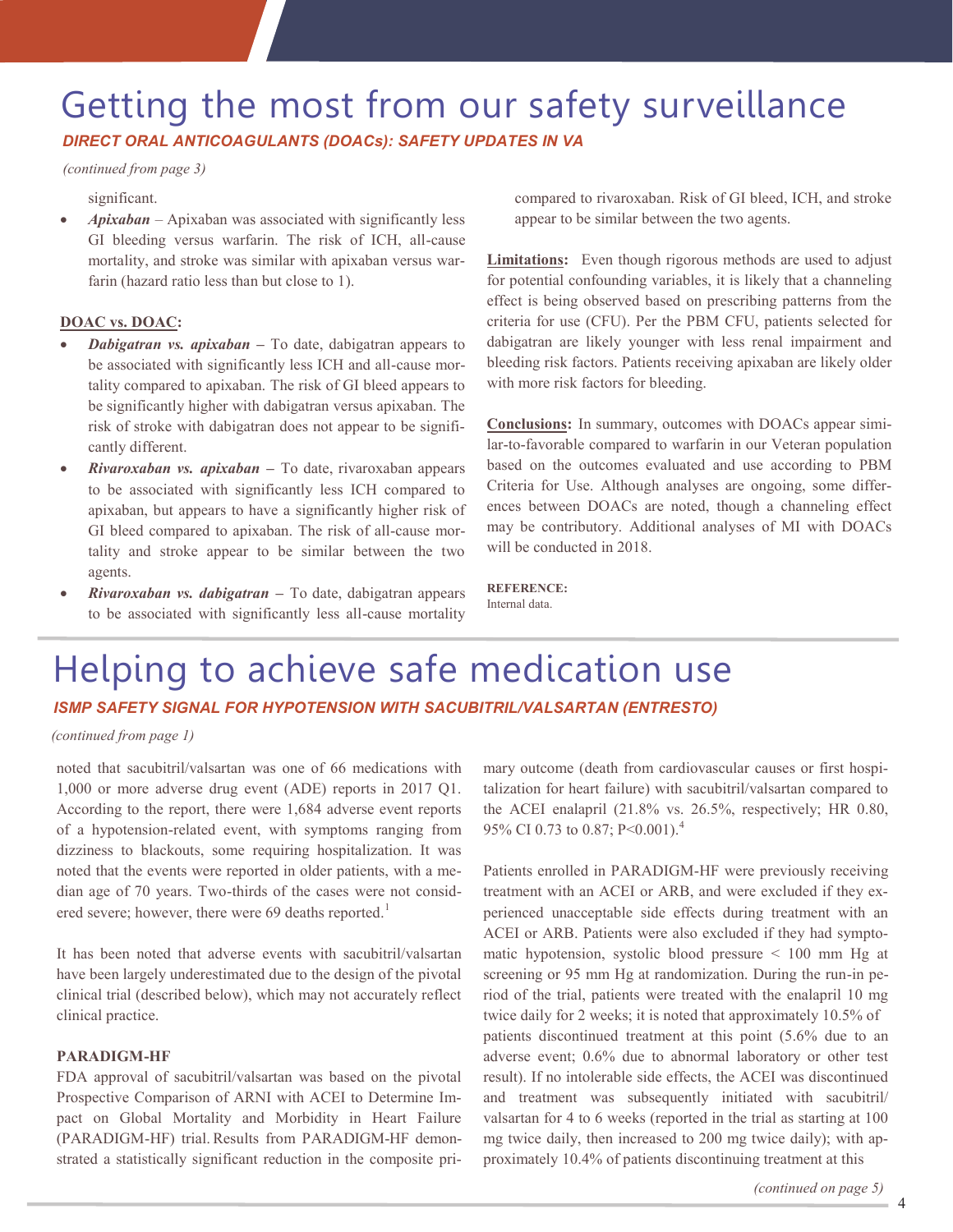## Getting the most from our safety surveillance *DIRECT ORAL ANTICOAGULANTS (DOACs): SAFETY UPDATES IN VA*

#### *(continued from page 3)*

#### significant.

• *Apixaban* – Apixaban was associated with significantly less GI bleeding versus warfarin. The risk of ICH, all-cause mortality, and stroke was similar with apixaban versus warfarin (hazard ratio less than but close to 1).

#### **DOAC vs. DOAC:**

- *Dabigatran vs. apixaban –* To date, dabigatran appears to be associated with significantly less ICH and all-cause mortality compared to apixaban. The risk of GI bleed appears to be significantly higher with dabigatran versus apixaban. The risk of stroke with dabigatran does not appear to be significantly different.
- *Rivaroxaban vs. apixaban* **–** To date, rivaroxaban appears to be associated with significantly less ICH compared to apixaban, but appears to have a significantly higher risk of GI bleed compared to apixaban. The risk of all-cause mortality and stroke appear to be similar between the two agents.
- *Rivaroxaban vs. dabigatran* **–** To date, dabigatran appears to be associated with significantly less all-cause mortality

compared to rivaroxaban. Risk of GI bleed, ICH, and stroke appear to be similar between the two agents.

**Limitations:** Even though rigorous methods are used to adjust for potential confounding variables, it is likely that a channeling effect is being observed based on prescribing patterns from the criteria for use (CFU). Per the PBM CFU, patients selected for dabigatran are likely younger with less renal impairment and bleeding risk factors. Patients receiving apixaban are likely older with more risk factors for bleeding.

**Conclusions:** In summary, outcomes with DOACs appear similar-to-favorable compared to warfarin in our Veteran population based on the outcomes evaluated and use according to PBM Criteria for Use. Although analyses are ongoing, some differences between DOACs are noted, though a channeling effect may be contributory. Additional analyses of MI with DOACs will be conducted in 2018.

### **REFERENCE:**

Internal data.

## Helping to achieve safe medication use

#### *ISMP SAFETY SIGNAL FOR HYPOTENSION WITH SACUBITRIL/VALSARTAN (ENTRESTO)*

*(continued from page 1)*

noted that sacubitril/valsartan was one of 66 medications with 1,000 or more adverse drug event (ADE) reports in 2017 Q1. According to the report, there were 1,684 adverse event reports of a hypotension-related event, with symptoms ranging from dizziness to blackouts, some requiring hospitalization. It was noted that the events were reported in older patients, with a median age of 70 years. Two-thirds of the cases were not considered severe; however, there were 69 deaths reported.<sup>1</sup>

It has been noted that adverse events with sacubitril/valsartan have been largely underestimated due to the design of the pivotal clinical trial (described below), which may not accurately reflect clinical practice.

#### **PARADIGM-HF**

FDA approval of sacubitril/valsartan was based on the pivotal Prospective Comparison of ARNI with ACEI to Determine Impact on Global Mortality and Morbidity in Heart Failure (PARADIGM-HF) trial. Results from PARADIGM-HF demonstrated a statistically significant reduction in the composite primary outcome (death from cardiovascular causes or first hospitalization for heart failure) with sacubitril/valsartan compared to the ACEI enalapril (21.8% vs. 26.5%, respectively; HR 0.80, 95% CI 0.73 to 0.87; P<0.001).<sup>4</sup>

Patients enrolled in PARADIGM-HF were previously receiving treatment with an ACEI or ARB, and were excluded if they experienced unacceptable side effects during treatment with an ACEI or ARB. Patients were also excluded if they had symptomatic hypotension, systolic blood pressure < 100 mm Hg at screening or 95 mm Hg at randomization. During the run-in period of the trial, patients were treated with the enalapril 10 mg twice daily for 2 weeks; it is noted that approximately 10.5% of patients discontinued treatment at this point (5.6% due to an adverse event; 0.6% due to abnormal laboratory or other test result). If no intolerable side effects, the ACEI was discontinued and treatment was subsequently initiated with sacubitril/ valsartan for 4 to 6 weeks (reported in the trial as starting at 100 mg twice daily, then increased to 200 mg twice daily); with approximately 10.4% of patients discontinuing treatment at this